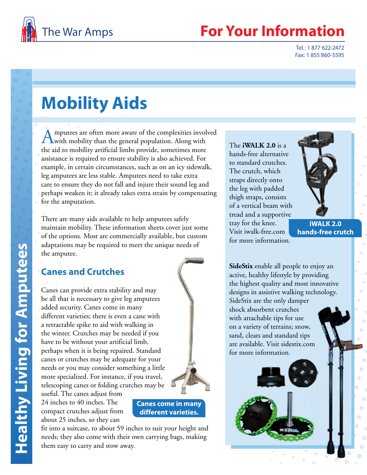

# **Your Information**

Tel.: 1 877 622-2472 Fax: 1 855 860-5595

# **Mobility Aids**

Amputees are often more aware of the complexities involved<br>with mobility than the general population. Along with the aid to mobility artificial limbs provide, sometimes more assistance is required to ensure stability is also achieved. For example, in certain circumstances, such as on an icy sidewalk, leg amputees are less stable. Amputees need to take extra care to ensure they do not fall and injure their sound leg and perhaps weaken it; it already takes extra strain by compensating for the amputation.

There are many aids available to help amputees safely maintain mobility. These information sheets cover just some of the options. Most are commercially available, but custom adaptations may be required to meet the unique needs of the amputee.

# **Canes and Crutches**

Canes can provide extra stability and may be all that is necessary to give leg amputees added security. Canes come in many different varieties; there is even a cane with a retractable spike to aid with walking in the winter. Crutches may be needed if you have to be without your artificial limb, perhaps when it is being repaired. Standard canes or crutches may be adequate for your needs or you may consider something a little more specialized. For instance, if you travel, telescoping canes or folding crutches may be useful. The canes adjust from

24 inches to 40 inches. The compact crutches adjust from about 25 inches, so they can



fit into a suitcase, to about 59 inches to suit your height and needs; they also come with their own carrying bags, making them easy to carry and stow away.

The **iWALK 2.0** is a hands-free alternative to standard crutches. The crutch, which straps directly onto the leg with padded thigh straps, consists of a vertical beam with tread and a supportive tray for the knee. Visit iwalk-free.com for more information.



**iWALK 2.0 hands-free crutch**

**SideStix** enable all people to enjoy an active, healthy lifestyle by providing the highest quality and most innovative designs in assistive walking technology. SideStix are the only damper shock absorbent crutches with attachable tips for use on a variety of terrains; snow, sand, cleats and standard tips are available. Visit sidestix.com for more information.

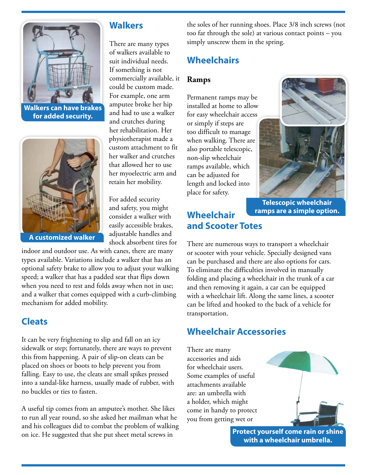

**Walkers can have brakes for added security.**



**A customized walker**

### **Walkers**

There are many types of walkers available to suit individual needs. If something is not commercially available, it could be custom made. For example, one arm amputee broke her hip and had to use a walker and crutches during her rehabilitation. Her physiotherapist made a custom attachment to fit her walker and crutches that allowed her to use her myoelectric arm and retain her mobility.

For added security and safety, you might consider a walker with easily accessible brakes, adjustable handles and shock absorbent tires for

indoor and outdoor use. As with canes, there are many types available. Variations include a walker that has an optional safety brake to allow you to adjust your walking speed; a walker that has a padded seat that flips down when you need to rest and folds away when not in use; and a walker that comes equipped with a curb-climbing mechanism for added mobility.

## **Cleats**

It can be very frightening to slip and fall on an icy sidewalk or step; fortunately, there are ways to prevent this from happening. A pair of slip-on cleats can be placed on shoes or boots to help prevent you from falling. Easy to use, the cleats are small spikes pressed into a sandal-like harness, usually made of rubber, with no buckles or ties to fasten.

A useful tip comes from an amputee's mother. She likes to run all year round, so she asked her mailman what he and his colleagues did to combat the problem of walking on ice. He suggested that she put sheet metal screws in

the soles of her running shoes. Place 3/8 inch screws (not too far through the sole) at various contact points – you simply unscrew them in the spring.

# **Wheelchairs**

#### **Ramps**

Permanent ramps may be installed at home to allow for easy wheelchair access or simply if steps are too difficult to manage when walking. There are also portable telescopic, non-slip wheelchair ramps available, which can be adjusted for length and locked into place for safety.



**Telescopic wheelchair ramps are a simple option.**

## **Wheelchair and Scooter Totes**

There are numerous ways to transport a wheelchair or scooter with your vehicle. Specially designed vans can be purchased and there are also options for cars. To eliminate the difficulties involved in manually folding and placing a wheelchair in the trunk of a car and then removing it again, a car can be equipped with a wheelchair lift. Along the same lines, a scooter can be lifted and hooked to the back of a vehicle for transportation.

# **Wheelchair Accessories**

There are many accessories and aids for wheelchair users. Some examples of useful attachments available are: an umbrella with a holder, which might come in handy to protect you from getting wet or

> **Protect yourself come rain or shine with a wheelchair umbrella.**